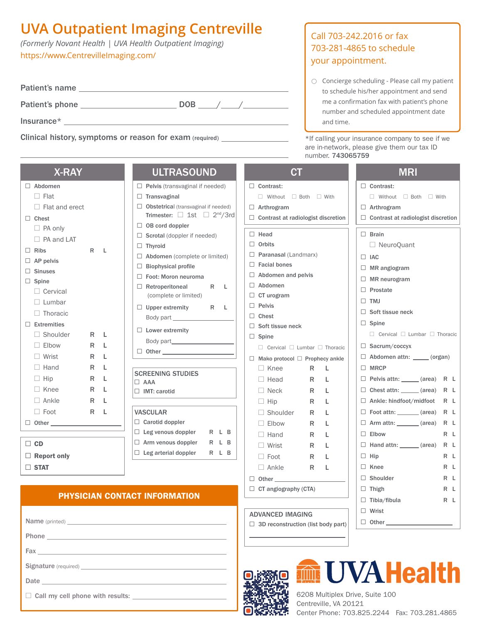## **UVA Outpatient Imaging Centreville**

*(Formerly Novant Health | UVA Health Outpatient Imaging)* https://www.CentrevilleImaging.com/

| Patient's name  |            |  |
|-----------------|------------|--|
| Patient's phone | <b>DOB</b> |  |
| Insurance $*$   |            |  |

Clinical history, symptoms or reason for exam (required) \_\_\_\_\_\_\_\_\_\_\_\_\_\_\_\_\_ \*If calling your insurance company to see if we

| 78 I W 81             |   |   |
|-----------------------|---|---|
| $\Box$ Abdomen        |   |   |
| $\Box$ Flat           |   |   |
| $\Box$ Flat and erect |   |   |
| $\Box$ Chest          |   |   |
| □ PA only             |   |   |
| $\Box$ PA and LAT     |   |   |
| $\Box$ Ribs           | R | L |
| $\Box$ AP pelvis      |   |   |
| $\Box$ Sinuses        |   |   |
| $\Box$ Spine          |   |   |
| $\Box$ Cervical       |   |   |
| $\Box$ Lumbar         |   |   |
| $\Box$ Thoracic       |   |   |
| $\Box$ Extremities    |   |   |
| $\Box$ Shoulder       | R | L |
| $\Box$ Elbow          | R | L |
| $\Box$ Wrist          | R | L |
| $\Box$ Hand           | R | L |
| $\Box$ Hip            | R | L |
| $\Box$ Knee           | R | L |
| $\Box$ Ankle          | R | L |
| $\Box$ Foot           | R | L |
| $\Box$ Other          |   |   |
|                       |   |   |

 $\Box$  CD

 $\Box$  Report only  $\square$  STAT

### X-RAY ULTRASOUND

|                                      | $\Box$ Pelvis (transvaginal if needed)                                                           |   |    |   |
|--------------------------------------|--------------------------------------------------------------------------------------------------|---|----|---|
| П.                                   | Transvaginal                                                                                     |   |    |   |
|                                      | $\Box$ Obstetrical (transvaginal if needed)<br>Trimester: $\Box$ 1st $\Box$ 2 <sup>nd</sup> /3rd |   |    |   |
|                                      | $\Box$ OB cord doppler                                                                           |   |    |   |
|                                      | $\Box$ Scrotal (doppler if needed)                                                               |   |    |   |
|                                      | $\Box$ Thyroid                                                                                   |   |    |   |
| $\Box$ Abdomen (complete or limited) |                                                                                                  |   |    |   |
|                                      | $\Box$ Biophysical profile                                                                       |   |    |   |
|                                      | $\Box$ Foot: Moron neuroma                                                                       |   |    |   |
|                                      | $\Box$ Retroperitoneal                                                                           | R |    | L |
|                                      | (complete or limited)                                                                            |   |    |   |
|                                      | $\Box$ Upper extremity                                                                           | R |    | L |
|                                      | Body part __________                                                                             |   |    |   |
|                                      | $\Box$ Lower extremity                                                                           |   |    |   |
|                                      |                                                                                                  |   |    |   |
| $\Box$                               | <b>Other contracts</b>                                                                           |   |    |   |
|                                      |                                                                                                  |   |    |   |
|                                      | <b>SCREENING STUDIES</b>                                                                         |   |    |   |
| $\Box$ AAA                           |                                                                                                  |   |    |   |
|                                      | <b>IMT: carotid</b>                                                                              |   |    |   |
|                                      |                                                                                                  |   |    |   |
| <b>VASCULAR</b>                      |                                                                                                  |   |    |   |
|                                      | $\Box$ Carotid doppler                                                                           |   |    |   |
|                                      | $\Box$ Leg venous doppler R                                                                      |   | L. | B |

 $\Box$  Arm venous doppler  $R$  L B  $\Box$  Leg arterial doppler  $R$  L B

## Call 703-242.2016 or fax 703-281-4865 to schedule your appointment.

◯ Concierge scheduling - Please call my patient to schedule his/her appointment and send me a confirmation fax with patient's phone number and scheduled appointment date and time.

are in-network, please give them our tax ID number. 743065759

|                                               | <b>MRI</b>                                    |  |  |
|-----------------------------------------------|-----------------------------------------------|--|--|
| $\Box$ Contrast:                              | $\Box$ Contrast:                              |  |  |
| $\Box$ Without $\Box$ Both $\Box$ With        | $\Box$ Without $\Box$ Both $\Box$ With        |  |  |
| $\Box$ Arthrogram                             | $\Box$ Arthrogram                             |  |  |
| $\Box$ Contrast at radiologist discretion     | $\Box$ Contrast at radiologist discretion     |  |  |
| $\Box$ Head                                   | $\Box$ Brain                                  |  |  |
| $\Box$ Orbits                                 | $\Box$ NeuroQuant                             |  |  |
| $\Box$ Paranasal (Landmarx)                   | $\Box$ IAC                                    |  |  |
| $\Box$ Facial bones                           | $\Box$ MR angiogram                           |  |  |
| $\Box$ Abdomen and pelvis                     | $\Box$ MR neurogram                           |  |  |
| $\Box$ Abdomen                                | $\Box$ Prostate                               |  |  |
| $\Box$ CT urogram                             | $\Box$ TMJ                                    |  |  |
| $\Box$ Pelvis<br>$\Box$ Chest                 | $\Box$ Soft tissue neck                       |  |  |
| $\Box$ Soft tissue neck                       | $\Box$ Spine                                  |  |  |
| $\Box$ Spine                                  | $\Box$ Cervical $\Box$ Lumbar $\Box$ Thoracic |  |  |
| $\Box$ Cervical $\Box$ Lumbar $\Box$ Thoracic | $\Box$ Sacrum/coccyx                          |  |  |
| $\Box$ Mako protocol $\Box$ Prophecy ankle    | $\Box$ Abdomen attn: $\_\_\_\_$ (organ)       |  |  |
| $\Box$ Knee<br>R<br>L                         | $\Box$ MRCP                                   |  |  |
| $\Box$ Head<br>R<br>L                         | $\Box$ Pelvis attn: ______ (area) R L         |  |  |
| $\Box$ Neck<br>R<br>L                         | $\Box$ Chest attn: ______ (area) R L          |  |  |
| $\Box$ Hip<br>R<br>L                          | □ Ankle: hindfoot/midfoot R L                 |  |  |
| $\Box$ Shoulder<br>- R<br>L                   | $\Box$ Foot attn: _______ (area) R L          |  |  |
| $\Box$ Elbow<br>R<br>L.                       | $\Box$ Arm attn: ________ (area)<br>R L       |  |  |
| $\Box$ Hand<br>R<br>L                         | $\Box$ Elbow<br>R L                           |  |  |
| □ Wrist<br>R<br>L                             | $\Box$ Hand attn: _______ (area)<br>R L       |  |  |
| □ Foot<br>R<br>L                              | $\Box$ Hip<br>R L                             |  |  |
| $\Box$ Ankle<br>R<br>L                        | $\Box$ Knee<br>R L                            |  |  |
|                                               | $\Box$ Shoulder<br>R L                        |  |  |
| $\Box$ CT angiography (CTA)                   | $\Box$ Thigh<br>R L                           |  |  |
|                                               | $\Box$ Tibia/fibula<br>R L                    |  |  |
| <b>ADVANCED IMAGING</b>                       | $\Box$ Wrist                                  |  |  |
| $\Box$ 3D reconstruction (list body part)     | $\Box$ Other $\_\_\_\_\_\_\_\_\_\$            |  |  |
|                                               |                                               |  |  |



**UVA Health** 

PHYSICIAN CONTACT INFORMATION

 $\Box$  Call my cell phone with results:

6208 Multiplex Drive, Suite 100 Centreville, VA 20121 Center Phone: 703.825.2244 Fax: 703.281.4865